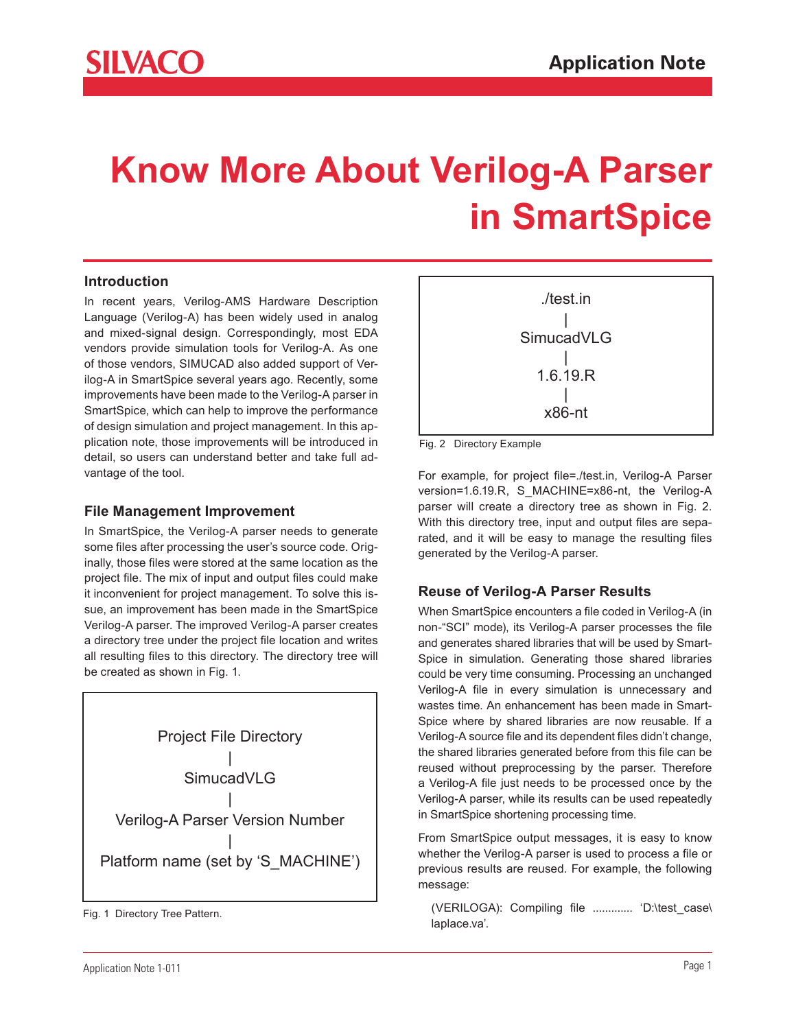# **Know More About Verilog-A Parser in SmartSpice**

## **Introduction**

In recent years, Verilog-AMS Hardware Description Language (Verilog-A) has been widely used in analog and mixed-signal design. Correspondingly, most EDA vendors provide simulation tools for Verilog-A. As one of those vendors, SIMUCAD also added support of Verilog-A in SmartSpice several years ago. Recently, some improvements have been made to the Verilog-A parser in SmartSpice, which can help to improve the performance of design simulation and project management. In this application note, those improvements will be introduced in detail, so users can understand better and take full advantage of the tool.

#### **File Management Improvement**

In SmartSpice, the Verilog-A parser needs to generate some files after processing the user's source code. Originally, those files were stored at the same location as the project file. The mix of input and output files could make it inconvenient for project management. To solve this issue, an improvement has been made in the SmartSpice Verilog-A parser. The improved Verilog-A parser creates a directory tree under the project file location and writes all resulting files to this directory. The directory tree will be created as shown in Fig. 1.



laplace.va'. Fig. 1 Directory Tree Pattern.<br>'laplace.va'.



Fig. 2 Directory Example

For example, for project file=./test.in, Verilog-A Parser version=1.6.19.R, S\_MACHINE=x86-nt, the Verilog-A parser will create a directory tree as shown in Fig. 2. With this directory tree, input and output files are separated, and it will be easy to manage the resulting files generated by the Verilog-A parser.

#### **Reuse of Verilog-A Parser Results**

When SmartSpice encounters a file coded in Verilog-A (in non-"SCI" mode), its Verilog-A parser processes the file and generates shared libraries that will be used by Smart-Spice in simulation. Generating those shared libraries could be very time consuming. Processing an unchanged Verilog-A file in every simulation is unnecessary and wastes time. An enhancement has been made in Smart-Spice where by shared libraries are now reusable. If a Verilog-A source file and its dependent files didn't change, the shared libraries generated before from this file can be reused without preprocessing by the parser. Therefore a Verilog-A file just needs to be processed once by the Verilog-A parser, while its results can be used repeatedly in SmartSpice shortening processing time.

From SmartSpice output messages, it is easy to know whether the Verilog-A parser is used to process a file or previous results are reused. For example, the following message:

(VERILOGA): Compiling file ............. 'D:\test\_case\